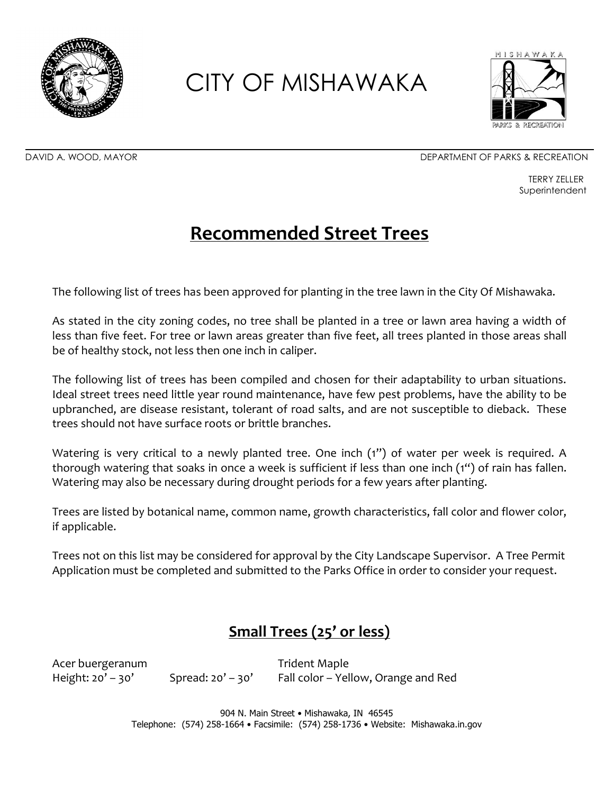



DAVID A. WOOD, MAYOR DEPARTMENT OF PARKS & RECREATION

TERRY ZELLER **Superintendent** 

### **Recommended Street Trees**

The following list of trees has been approved for planting in the tree lawn in the City Of Mishawaka.

As stated in the city zoning codes, no tree shall be planted in a tree or lawn area having a width of less than five feet. For tree or lawn areas greater than five feet, all trees planted in those areas shall be of healthy stock, not less then one inch in caliper.

The following list of trees has been compiled and chosen for their adaptability to urban situations. Ideal street trees need little year round maintenance, have few pest problems, have the ability to be upbranched, are disease resistant, tolerant of road salts, and are not susceptible to dieback. These trees should not have surface roots or brittle branches.

Watering is very critical to a newly planted tree. One inch (1") of water per week is required. A thorough watering that soaks in once a week is sufficient if less than one inch (1") of rain has fallen. Watering may also be necessary during drought periods for a few years after planting.

Trees are listed by botanical name, common name, growth characteristics, fall color and flower color, if applicable.

Trees not on this list may be considered for approval by the City Landscape Supervisor. A Tree Permit Application must be completed and submitted to the Parks Office in order to consider your request.

### **Small Trees (25' or less)**

Acer buergeranum and the state of the Trident Maple

Height:  $20' - 30'$  Spread:  $20' - 30'$  Fall color – Yellow, Orange and Red

904 N. Main Street • Mishawaka, IN 46545 Telephone: (574) 258-1664 • Facsimile: (574) 258-1736 • Website: Mishawaka.in.gov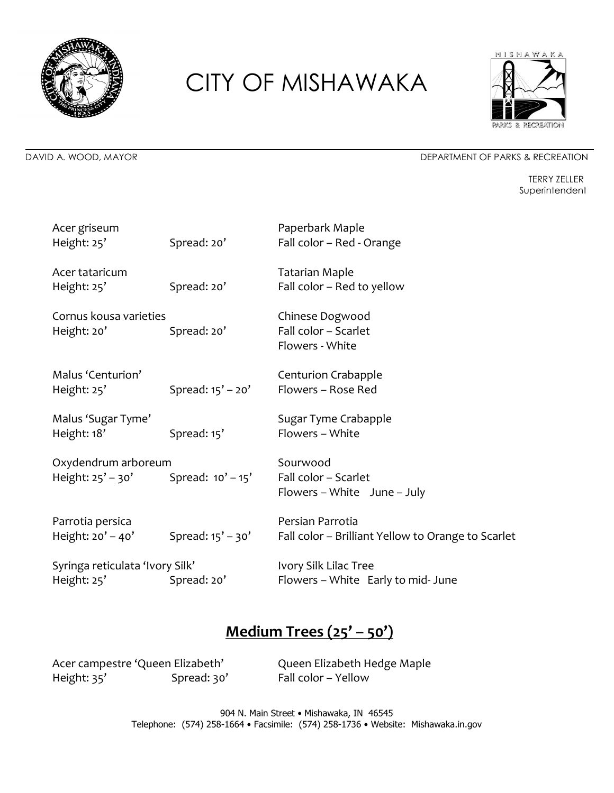



#### DAVID A. WOOD, MAYOR DEPARTMENT OF PARKS & RECREATION

TERRY ZELLER Superintendent

| Acer griseum<br>Height: 25'                                    | Spread: 20'           | Paperbark Maple<br>Fall color - Red - Orange                           |
|----------------------------------------------------------------|-----------------------|------------------------------------------------------------------------|
| Acer tataricum<br>Height: 25'                                  | Spread: 20'           | <b>Tatarian Maple</b><br>Fall color - Red to yellow                    |
| Cornus kousa varieties<br>Height: 20'                          | Spread: 20'           | Chinese Dogwood<br>Fall color - Scarlet<br>Flowers - White             |
| Malus 'Centurion'<br>Height: 25'                               | Spread: $15' - 20'$   | <b>Centurion Crabapple</b><br>Flowers - Rose Red                       |
| Malus 'Sugar Tyme'<br>Height: 18'                              | Spread: 15'           | Sugar Tyme Crabapple<br>Flowers - White                                |
| Oxydendrum arboreum<br>Height: $25' - 30'$ Spread: $10' - 15'$ |                       | Sourwood<br>Fall color - Scarlet<br>Flowers - White June - July        |
| Parrotia persica<br>Height: $20' - 40'$                        | Spread: $15'$ – $30'$ | Persian Parrotia<br>Fall color - Brilliant Yellow to Orange to Scarlet |
| Syringa reticulata 'Ivory Silk'<br>Height: 25'                 | Spread: 20'           | Ivory Silk Lilac Tree<br>Flowers - White Early to mid- June            |

### **Medium Trees (25' – 50')**

Acer campestre 'Queen Elizabeth' Queen Elizabeth Hedge Maple Height: 35' Spread: 30' Fall color – Yellow

904 N. Main Street • Mishawaka, IN 46545 Telephone: (574) 258-1664 • Facsimile: (574) 258-1736 • Website: Mishawaka.in.gov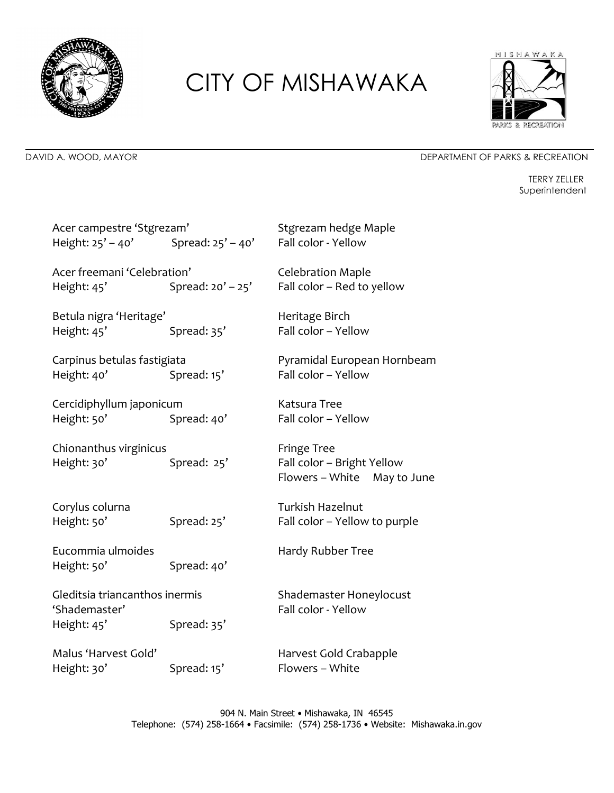



#### DAVID A. WOOD, MAYOR DEPARTMENT OF PARKS & RECREATION

TERRY ZELLER Superintendent

| Acer campestre 'Stgrezam'<br>Height: 25' - 40' Spread: 25' - 40' |                     | Stgrezam hedge Maple<br>Fall color - Yellow                              |  |
|------------------------------------------------------------------|---------------------|--------------------------------------------------------------------------|--|
| Acer freemani 'Celebration'<br>Height: 45'                       | Spread: $20' - 25'$ | <b>Celebration Maple</b><br>Fall color - Red to yellow                   |  |
| Betula nigra 'Heritage'<br>Height: 45'                           | Spread: 35'         | Heritage Birch<br>Fall color - Yellow                                    |  |
| Carpinus betulas fastigiata<br>Height: 40'                       | Spread: 15'         | Pyramidal European Hornbeam<br>Fall color - Yellow                       |  |
| Cercidiphyllum japonicum<br>Height: 50'                          | Spread: 40'         | Katsura Tree<br>Fall color - Yellow                                      |  |
| Chionanthus virginicus<br>Height: 30'                            | Spread: 25'         | Fringe Tree<br>Fall color - Bright Yellow<br>Flowers - White May to June |  |
| Corylus colurna<br>Height: 50'                                   | Spread: 25'         | <b>Turkish Hazelnut</b><br>Fall color - Yellow to purple                 |  |
| Eucommia ulmoides<br>Height: 50'                                 | Spread: 40'         | Hardy Rubber Tree                                                        |  |
| Gleditsia triancanthos inermis<br>'Shademaster'<br>Height: 45'   | Spread: 35'         | Shademaster Honeylocust<br>Fall color - Yellow                           |  |
| Malus 'Harvest Gold'<br>Height: 30'                              | Spread: 15'         | Harvest Gold Crabapple<br>Flowers - White                                |  |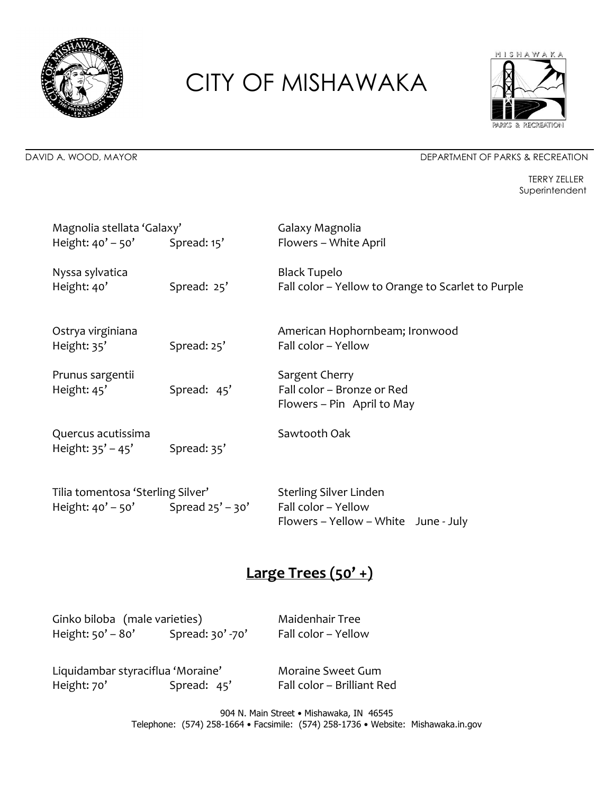



#### DAVID A. WOOD, MAYOR DEPARTMENT OF PARKS & RECREATION

TERRY ZELLER Superintendent

| Magnolia stellata 'Galaxy'<br>Height: $40' - 50'$ Spread: $15'$             |             | Galaxy Magnolia<br>Flowers - White April                                   |  |
|-----------------------------------------------------------------------------|-------------|----------------------------------------------------------------------------|--|
| Nyssa sylvatica<br>Height: 40'                                              | Spread: 25' | <b>Black Tupelo</b><br>Fall color - Yellow to Orange to Scarlet to Purple  |  |
| Ostrya virginiana<br>Height: 35'                                            | Spread: 25' | American Hophornbeam; Ironwood<br>Fall color - Yellow                      |  |
| Prunus sargentii<br>Height: 45'                                             | Spread: 45' | Sargent Cherry<br>Fall color - Bronze or Red<br>Flowers – Pin April to May |  |
| Quercus acutissima<br>Height: $35' - 45'$                                   | Spread: 35' | Sawtooth Oak                                                               |  |
| Tilia tomentosa 'Sterling Silver'<br>Height: $40' - 50'$ Spread $25' - 30'$ |             | Sterling Silver Linden<br>Fall color - Yellow                              |  |

### **Large Trees (50' +)**

Flowers – Yellow – White June - July

| Ginko biloba (male varieties)<br>Height: 50' - 80' | Spread: 30' -70' | Maidenhair Tree<br>Fall color - Yellow          |
|----------------------------------------------------|------------------|-------------------------------------------------|
| Liquidambar styraciflua 'Moraine'<br>Height: 70'   | Spread: 45'      | Moraine Sweet Gum<br>Fall color - Brilliant Red |

904 N. Main Street • Mishawaka, IN 46545 Telephone: (574) 258-1664 • Facsimile: (574) 258-1736 • Website: Mishawaka.in.gov